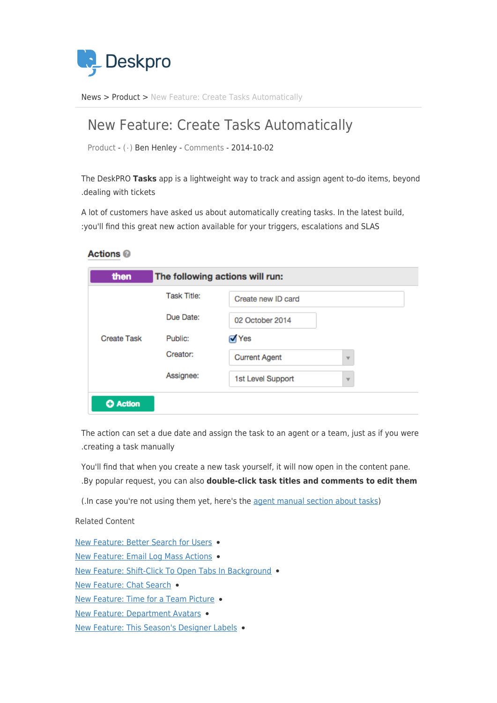

News> [Product](https://support.deskpro.com/ar/news/product) > New Feature: Create Tasks Automatically

## New Feature: Create Tasks Automatically

Product -  $(·)$  Ben Henley - [Comments](#page--1-0) - 2014-10-02

The DeskPRO Tasks app is a lightweight way to track and assign agent to-do items, beyond .dealing with tickets

A lot of customers have asked us about automatically creating tasks. In the latest build, : you'll find this great new action available for your triggers, escalations and SLAS

## **Actions**

| then               | The following actions will run: |                      |                         |
|--------------------|---------------------------------|----------------------|-------------------------|
| <b>Create Task</b> | <b>Task Title:</b>              | Create new ID card   |                         |
|                    | Due Date:                       | 02 October 2014      |                         |
|                    | Public:                         | √Yes                 |                         |
|                    | Creator:                        | <b>Current Agent</b> | $\overline{\mathbf{v}}$ |
|                    | Assignee:                       | 1st Level Support    | $\overline{\mathbf{v}}$ |
| <b>O</b> Action    |                                 |                      |                         |

The action can set a due date and assign the task to an agent or a team, just as if you were .creating a task manually

You'll find that when you create a new task yourself, it will now open in the content pane. .By popular request, you can also **double-click task titles and comments to edit them** 

(.In case you're not using them yet, here's the agent manual section about tasks)

Related Content

New Feature: Better Search for Users . New Feature: Email Log Mass Actions . New Feature: Shift-Click To Open Tabs In Background . New Feature: Chat Search . New Feature: Time for a Team Picture . New Feature: Department Avatars . New Feature: This Season's Designer Labels .